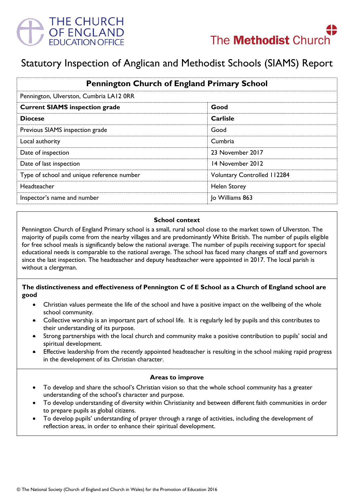



# Statutory Inspection of Anglican and Methodist Schools (SIAMS) Report

| <b>Pennington Church of England Primary School</b> |                                    |
|----------------------------------------------------|------------------------------------|
| Pennington, Ulverston, Cumbria LA12 ORR            |                                    |
| <b>Current SIAMS inspection grade</b>              | Good                               |
| <b>Diocese</b>                                     | Carlisle                           |
| Previous SIAMS inspection grade                    | Good                               |
| Local authority                                    | Cumbria                            |
| Date of inspection                                 | 23 November 2017                   |
| Date of last inspection                            | 14 November 2012                   |
| Type of school and unique reference number         | <b>Voluntary Controlled 112284</b> |
| Headteacher                                        | <b>Helen Storey</b>                |
| Inspector's name and number                        | lo Williams 863                    |

#### **School context**

Pennington Church of England Primary school is a small, rural school close to the market town of Ulverston. The majority of pupils come from the nearby villages and are predominantly White British. The number of pupils eligible for free school meals is significantly below the national average. The number of pupils receiving support for special educational needs is comparable to the national average. The school has faced many changes of staff and governors since the last inspection. The headteacher and deputy headteacher were appointed in 2017. The local parish is without a clergyman.

# **The distinctiveness and effectiveness of Pennington C of E School as a Church of England school are good**

- Christian values permeate the life of the school and have a positive impact on the wellbeing of the whole school community.
- Collective worship is an important part of school life. It is regularly led by pupils and this contributes to their understanding of its purpose.
- Strong partnerships with the local church and community make a positive contribution to pupils' social and spiritual development.
- **Effective leadership from the recently appointed headteacher is resulting in the school making rapid progress** in the development of its Christian character.

#### **Areas to improve**

- To develop and share the school's Christian vision so that the whole school community has a greater understanding of the school's character and purpose.
- To develop understanding of diversity within Christianity and between different faith communities in order to prepare pupils as global citizens.
- To develop pupils' understanding of prayer through a range of activities, including the development of reflection areas, in order to enhance their spiritual development.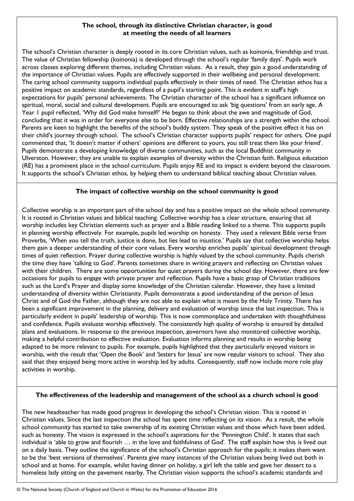# **The school, through its distinctive Christian character, is good at meeting the needs of all learners**

The school's Christian character is deeply rooted in its core Christian values, such as koinonia, friendship and trust. The value of Christian fellowship (koinonia) is developed through the school's regular 'family days'. Pupils work across classes exploring different themes, including Christian values. As a result, they gain a good understanding of the importance of Christian values. Pupils are effectively supported in their wellbeing and personal development. The caring school community supports individual pupils effectively in their times of need. The Christian ethos has a positive impact on academic standards, regardless of a pupil's starting point. This is evident in staff's high expectations for pupils' personal achievements. The Christian character of the school has a significant influence on spiritual, moral, social and cultural development. Pupils are encouraged to ask 'big questions' from an early age. A Year 1 pupil reflected, 'Why did God make himself?' He began to think about the awe and magnitude of God, concluding that it was in order for everyone else to be born. Effective relationships are a strength within the school. Parents are keen to highlight the benefits of the school's buddy system. They speak of the positive effect it has on their child's journey through school. The school's Christian character supports pupils' respect for others. One pupil commented that, 'It doesn't matter if others' opinions are different to yours, you still treat them like your friend'. Pupils demonstrate a developing knowledge of diverse communities, such as the local Buddhist community in Ulverston. However, they are unable to explain examples of diversity within the Christian faith. Religious education (RE) has a prominent place in the school curriculum. Pupils enjoy RE and its impact is evident beyond the classroom. It supports the school's Christian ethos, by helping them to understand biblical teaching about Christian values.

# **The impact of collective worship on the school community is good**

Collective worship is an important part of the school day and has a positive impact on the whole school community. It is rooted in Christian values and biblical teaching. Collective worship has a clear structure, ensuring that all worship includes key Christian elements such as prayer and a Bible reading linked to a theme. This supports pupils in planning worship effectively. For example, pupils led worship on honesty. They used a relevant Bible verse from Proverbs, 'When you tell the truth, justice is done, but lies lead to injustice.' Pupils say that collective worship helps them gain a deeper understanding of their core values. Every worship enriches pupils' spiritual development through times of quiet reflection. Prayer during collective worship is highly valued by the school community. Pupils cherish the time they have 'talking to God'. Parents sometimes share in writing prayers and reflecting on Christian values with their children. There are some opportunities for quiet prayers during the school day. However, there are few occasions for pupils to engage with private prayer and reflection. Pupils have a basic grasp of Christian traditions such as the Lord's Prayer and display some knowledge of the Christian calendar. However, they have a limited understanding of diversity within Christianity. Pupils demonstrate a good understanding of the person of Jesus Christ and of God the Father, although they are not able to explain what is meant by the Holy Trinity. There has been a significant improvement in the planning, delivery and evaluation of worship since the last inspection. This is particularly evident in pupils' leadership of worship. This is now commonplace and undertaken with thoughtfulness and confidence. Pupils evaluate worship effectively. The consistently high quality of worship is ensured by detailed plans and evaluations. In response to the previous inspection, governors have also monitored collective worship, making a helpful contribution to effective evaluation. Evaluation informs planning and results in worship being adapted to be more relevant to pupils. For example, pupils highlighted that they particularly enjoyed visitors in worship, with the result that 'Open the Book' and 'Jesters for Jesus' are now regular visitors to school. They also said that they enjoyed being more active in worship led by adults. Consequently, staff now include more role play activities in worship.

# **The effectiveness of the leadership and management of the school as a church school is good**

The new headteacher has made good progress in developing the school's Christian vision. This is rooted in Christian values. Since the last inspection the school has spent time reflecting on its vision. As a result, the whole school community has started to take ownership of its existing Christian values and those which have been added, such as honesty. The vision is expressed in the school's aspirations for the 'Pennington Child'. It states that each individual is 'able to grow and flourish … in the love and faithfulness of God'. The staff explain how this is lived out on a daily basis. They outline the significance of the school's Christian approach for the pupils; it makes them want to be the 'best versions of themselves'. Parents give many instances of the Christian values being lived out both in school and at home. For example, whilst having dinner on holiday, a girl left the table and gave her dessert to a homeless lady sitting on the pavement nearby. The Christian vision supports the school's academic standards and